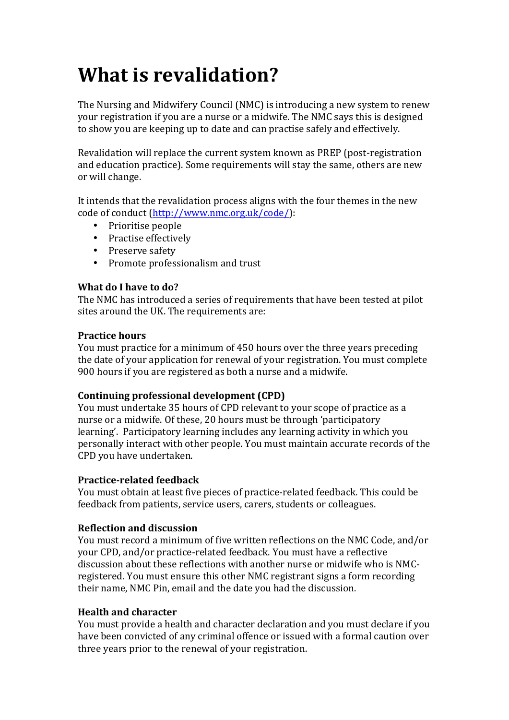# **What is revalidation?**

The Nursing and Midwifery Council (NMC) is introducing a new system to renew your registration if you are a nurse or a midwife. The NMC says this is designed to show you are keeping up to date and can practise safely and effectively.

Revalidation will replace the current system known as PREP (post-registration and education practice). Some requirements will stay the same, others are new or will change.

It intends that the revalidation process aligns with the four themes in the new code of conduct (http://www.nmc.org.uk/code/):

- Prioritise people
- Practise effectively
- Preserve safety
- Promote professionalism and trust

## **What do I have to do?**

The NMC has introduced a series of requirements that have been tested at pilot sites around the UK. The requirements are:

## **Practice hours**

You must practice for a minimum of 450 hours over the three years preceding the date of your application for renewal of your registration. You must complete 900 hours if you are registered as both a nurse and a midwife.

## **Continuing professional development (CPD)**

You must undertake 35 hours of CPD relevant to your scope of practice as a nurse or a midwife. Of these, 20 hours must be through 'participatory learning'. Participatory learning includes any learning activity in which you personally interact with other people. You must maintain accurate records of the CPD you have undertaken.

## **Practice-related feedback**

You must obtain at least five pieces of practice-related feedback. This could be feedback from patients, service users, carers, students or colleagues.

## **Reflection and discussion**

You must record a minimum of five written reflections on the NMC Code, and/or your CPD, and/or practice-related feedback. You must have a reflective discussion about these reflections with another nurse or midwife who is NMCregistered. You must ensure this other NMC registrant signs a form recording their name, NMC Pin, email and the date you had the discussion.

## **Health and character**

You must provide a health and character declaration and you must declare if you have been convicted of any criminal offence or issued with a formal caution over three years prior to the renewal of your registration.